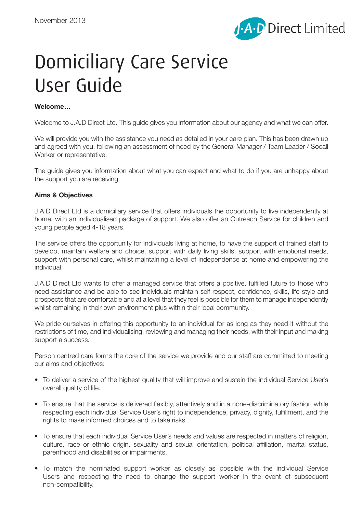

# Domiciliary Care Service User Guide

## **Welcome…**

Welcome to J.A.D Direct Ltd. This guide gives you information about our agency and what we can offer.

We will provide you with the assistance you need as detailed in your care plan. This has been drawn up and agreed with you, following an assessment of need by the General Manager / Team Leader / Socail Worker or representative.

The guide gives you information about what you can expect and what to do if you are unhappy about the support you are receiving.

## **Aims & Objectives**

J.A.D Direct Ltd is a domiciliary service that offers individuals the opportunity to live independently at home, with an individualised package of support. We also offer an Outreach Service for children and young people aged 4-18 years.

The service offers the opportunity for individuals living at home, to have the support of trained staff to develop, maintain welfare and choice, support with daily living skills, support with emotional needs, support with personal care, whilst maintaining a level of independence at home and empowering the individual.

J.A.D Direct Ltd wants to offer a managed service that offers a positive, fulfilled future to those who need assistance and be able to see individuals maintain self respect, confidence, skills, life-style and prospects that are comfortable and at a level that they feel is possible for them to manage independently whilst remaining in their own environment plus within their local community.

We pride ourselves in offering this opportunity to an individual for as long as they need it without the restrictions of time, and individualising, reviewing and managing their needs, with their input and making support a success.

Person centred care forms the core of the service we provide and our staff are committed to meeting our aims and objectives:

- To deliver a service of the highest quality that will improve and sustain the individual Service User's overall quality of life.
- To ensure that the service is delivered flexibly, attentively and in a none-discriminatory fashion while respecting each individual Service User's right to independence, privacy, dignity, fulfillment, and the rights to make informed choices and to take risks.
- To ensure that each individual Service User's needs and values are respected in matters of religion, culture, race or ethnic origin, sexuality and sexual orientation, political affiliation, marital status, parenthood and disabilities or impairments.
- To match the nominated support worker as closely as possible with the individual Service Users and respecting the need to change the support worker in the event of subsequent non-compatibility.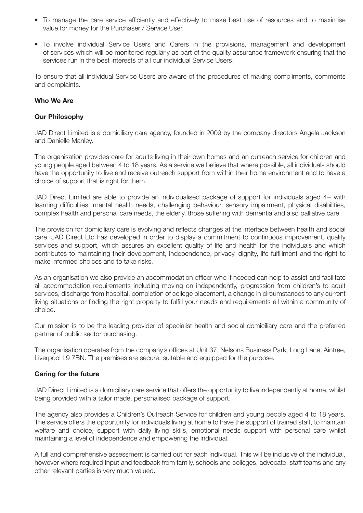- To manage the care service efficiently and effectively to make best use of resources and to maximise value for money for the Purchaser / Service User.
- To involve individual Service Users and Carers in the provisions, management and development of services which will be monitored regularly as part of the quality assurance framework ensuring that the services run in the best interests of all our individual Service Users.

To ensure that all individual Service Users are aware of the procedures of making compliments, comments and complaints.

## **Who We Are**

#### **Our Philosophy**

JAD Direct Limited is a domiciliary care agency, founded in 2009 by the company directors Angela Jackson and Danielle Manley.

The organisation provides care for adults living in their own homes and an outreach service for children and young people aged between 4 to 18 years. As a service we believe that where possible, all individuals should have the opportunity to live and receive outreach support from within their home environment and to have a choice of support that is right for them.

JAD Direct Limited are able to provide an individualised package of support for individuals aged 4+ with learning difficulties, mental health needs, challenging behaviour, sensory impairment, physical disabilities, complex health and personal care needs, the elderly, those suffering with dementia and also palliative care.

The provision for domiciliary care is evolving and reflects changes at the interface between health and social care. JAD Direct Ltd has developed in order to display a commitment to continuous improvement, quality services and support, which assures an excellent quality of life and health for the individuals and which contributes to maintaining their development, independence, privacy, dignity, life fulfillment and the right to make informed choices and to take risks.

As an organisation we also provide an accommodation officer who if needed can help to assist and facilitate all accommodation requirements including moving on independently, progression from children's to adult services, discharge from hospital, completion of college placement, a change in circumstances to any current living situations or finding the right property to fulfill your needs and requirements all within a community of choice.

Our mission is to be the leading provider of specialist health and social domiciliary care and the preferred partner of public sector purchasing.

The organisation operates from the company's offices at Unit 37, Nelsons Business Park, Long Lane, Aintree, Liverpool L9 7BN. The premises are secure, suitable and equipped for the purpose.

## **Caring for the future**

JAD Direct Limited is a domiciliary care service that offers the opportunity to live independently at home, whilst being provided with a tailor made, personalised package of support.

The agency also provides a Children's Outreach Service for children and young people aged 4 to 18 years. The service offers the opportunity for individuals living at home to have the support of trained staff, to maintain welfare and choice, support with daily living skills, emotional needs support with personal care whilst maintaining a level of independence and empowering the individual.

A full and comprehensive assessment is carried out for each individual. This will be inclusive of the individual, however where required input and feedback from family, schools and colleges, advocate, staff teams and any other relevant parties is very much valued.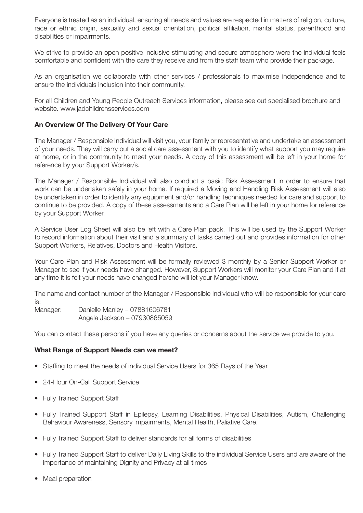Everyone is treated as an individual, ensuring all needs and values are respected in matters of religion, culture, race or ethnic origin, sexuality and sexual orientation, political affiliation, marital status, parenthood and disabilities or impairments.

We strive to provide an open positive inclusive stimulating and secure atmosphere were the individual feels comfortable and confident with the care they receive and from the staff team who provide their package.

As an organisation we collaborate with other services / professionals to maximise independence and to ensure the individuals inclusion into their community.

For all Children and Young People Outreach Services information, please see out specialised brochure and website. www.jadchildrensservices.com

#### **An Overview Of The Delivery Of Your Care**

The Manager / Responsible Individual will visit you, your family or representative and undertake an assessment of your needs. They will carry out a social care assessment with you to identify what support you may require at home, or in the community to meet your needs. A copy of this assessment will be left in your home for reference by your Support Worker/s.

The Manager / Responsible Individual will also conduct a basic Risk Assessment in order to ensure that work can be undertaken safely in your home. If required a Moving and Handling Risk Assessment will also be undertaken in order to identify any equipment and/or handling techniques needed for care and support to continue to be provided. A copy of these assessments and a Care Plan will be left in your home for reference by your Support Worker.

A Service User Log Sheet will also be left with a Care Plan pack. This will be used by the Support Worker to record information about their visit and a summary of tasks carried out and provides information for other Support Workers, Relatives, Doctors and Health Visitors.

Your Care Plan and Risk Assessment will be formally reviewed 3 monthly by a Senior Support Worker or Manager to see if your needs have changed. However, Support Workers will monitor your Care Plan and if at any time it is felt your needs have changed he/she will let your Manager know.

The name and contact number of the Manager / Responsible Individual who will be responsible for your care is:

Manager: Danielle Manley - 07881606781 Angela Jackson – 07930865059

You can contact these persons if you have any queries or concerns about the service we provide to you.

#### **What Range of Support Needs can we meet?**

- Staffing to meet the needs of individual Service Users for 365 Days of the Year
- 24-Hour On-Call Support Service
- Fully Trained Support Staff
- Fully Trained Support Staff in Epilepsy, Learning Disabilities, Physical Disabilities, Autism, Challenging Behaviour Awareness, Sensory impairments, Mental Health, Paliative Care.
- Fully Trained Support Staff to deliver standards for all forms of disabilities
- Fully Trained Support Staff to deliver Daily Living Skills to the individual Service Users and are aware of the importance of maintaining Dignity and Privacy at all times
- Meal preparation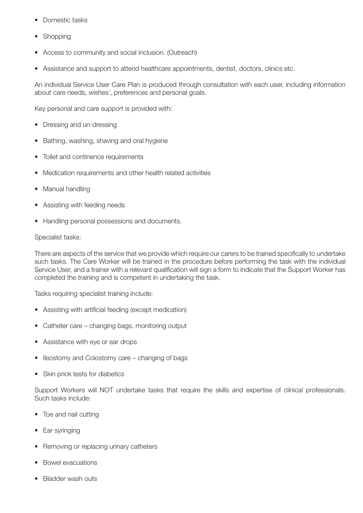- Domestic tasks
- Shopping
- Access to community and social inclusion. (Outreach)
- Assistance and support to attend healthcare appointments, dentist, doctors, clinics etc.

An individual Service User Care Plan is produced through consultation with each user, including information about care needs, wishes', preferences and personal goals.

Key personal and care support is provided with:

- Dressing and un-dressing
- Bathing, washing, shaving and oral hygiene
- Toilet and continence requirements
- Medication requirements and other health related activities
- Manual handling
- Assisting with feeding needs
- Handling personal possessions and documents.

#### Specialist tasks:

There are aspects of the service that we provide which require our carers to be trained specifically to undertake such tasks. The Care Worker will be trained in the procedure before performing the task with the individual Service User, and a trainer with a relevant qualification will sign a form to indicate that the Support Worker has completed the training and is competent in undertaking the task.

Tasks requiring specialist training include:

- Assisting with artificial feeding (except medication)
- Catheter care changing bags, monitoring output
- Assistance with eye or ear drops
- Ileostomy and Colostomy care changing of bags
- Skin prick tests for diabetics

Support Workers will NOT undertake tasks that require the skills and expertise of clinical professionals. Such tasks include:

- Toe and nail cutting
- Ear svringing
- Removing or replacing urinary catheters
- Bowel evacuations
- Bladder wash outs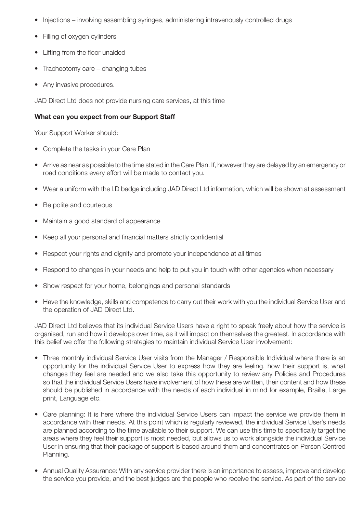- Injections involving assembling syringes, administering intravenously controlled drugs
- Filling of oxygen cylinders
- Lifting from the floor unaided
- Tracheotomy care changing tubes
- Any invasive procedures.

JAD Direct Ltd does not provide nursing care services, at this time

## **What can you expect from our Support Staff**

Your Support Worker should:

- Complete the tasks in your Care Plan
- Arrive as near as possible to the time stated in the Care Plan. If, however they are delayed by an emergency or road conditions every effort will be made to contact you.
- Wear a uniform with the I.D badge including JAD Direct Ltd information, which will be shown at assessment
- Be polite and courteous
- Maintain a good standard of appearance
- Keep all your personal and financial matters strictly confidential
- Respect your rights and dignity and promote your independence at all times
- Respond to changes in your needs and help to put you in touch with other agencies when necessary
- Show respect for your home, belongings and personal standards
- Have the knowledge, skills and competence to carry out their work with you the individual Service User and the operation of JAD Direct Ltd.

JAD Direct Ltd believes that its individual Service Users have a right to speak freely about how the service is organised, run and how it develops over time, as it will impact on themselves the greatest. In accordance with this belief we offer the following strategies to maintain individual Service User involvement:

- Three monthly individual Service User visits from the Manager / Responsible Individual where there is an opportunity for the individual Service User to express how they are feeling, how their support is, what changes they feel are needed and we also take this opportunity to review any Policies and Procedures so that the individual Service Users have involvement of how these are written, their content and how these should be published in accordance with the needs of each individual in mind for example, Braille, Large print, Language etc.
- Care planning: It is here where the individual Service Users can impact the service we provide them in accordance with their needs. At this point which is regularly reviewed, the individual Service User's needs are planned according to the time available to their support. We can use this time to specifically target the areas where they feel their support is most needed, but allows us to work alongside the individual Service User in ensuring that their package of support is based around them and concentrates on Person Centred Planning.
- Annual Quality Assurance: With any service provider there is an importance to assess, improve and develop the service you provide, and the best judges are the people who receive the service. As part of the service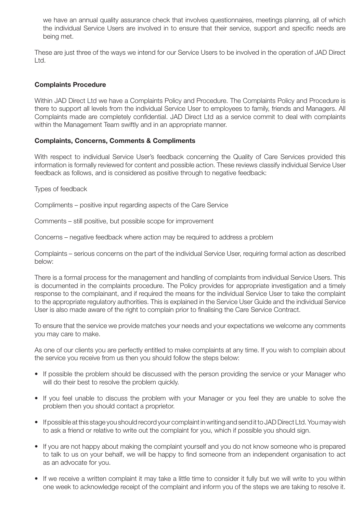we have an annual quality assurance check that involves questionnaires, meetings planning, all of which the individual Service Users are involved in to ensure that their service, support and specific needs are being met.

These are just three of the ways we intend for our Service Users to be involved in the operation of JAD Direct Ltd.

## **Complaints Procedure**

Within JAD Direct Ltd we have a Complaints Policy and Procedure. The Complaints Policy and Procedure is there to support all levels from the individual Service User to employees to family, friends and Managers. All Complaints made are completely confidential. JAD Direct Ltd as a service commit to deal with complaints within the Management Team swiftly and in an appropriate manner.

#### **Complaints, Concerns, Comments & Compliments**

With respect to individual Service User's feedback concerning the Quality of Care Services provided this information is formally reviewed for content and possible action. These reviews classify individual Service User feedback as follows, and is considered as positive through to negative feedback:

Types of feedback

Compliments – positive input regarding aspects of the Care Service

Comments – still positive, but possible scope for improvement

Concerns – negative feedback where action may be required to address a problem

Complaints – serious concerns on the part of the individual Service User, requiring formal action as described below:

There is a formal process for the management and handling of complaints from individual Service Users. This is documented in the complaints procedure. The Policy provides for appropriate investigation and a timely response to the complainant, and if required the means for the individual Service User to take the complaint to the appropriate regulatory authorities. This is explained in the Service User Guide and the individual Service User is also made aware of the right to complain prior to finalising the Care Service Contract.

To ensure that the service we provide matches your needs and your expectations we welcome any comments you may care to make.

As one of our clients you are perfectly entitled to make complaints at any time. If you wish to complain about the service you receive from us then you should follow the steps below:

- If possible the problem should be discussed with the person providing the service or your Manager who will do their best to resolve the problem quickly.
- If you feel unable to discuss the problem with your Manager or you feel they are unable to solve the problem then you should contact a proprietor.
- If possible at this stage you should record your complaint in writing and send it to JAD Direct Ltd. You may wish to ask a friend or relative to write out the complaint for you, which if possible you should sign.
- If you are not happy about making the complaint yourself and you do not know someone who is prepared to talk to us on your behalf, we will be happy to find someone from an independent organisation to act as an advocate for you.
- If we receive a written complaint it may take a little time to consider it fully but we will write to you within one week to acknowledge receipt of the complaint and inform you of the steps we are taking to resolve it.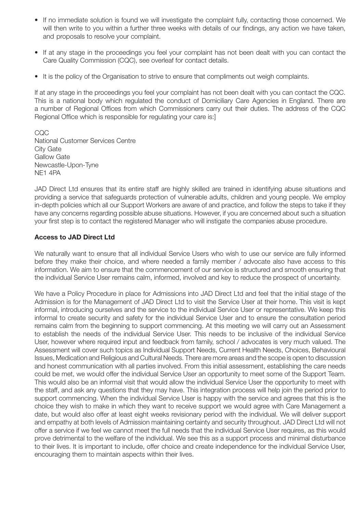- If no immediate solution is found we will investigate the complaint fully, contacting those concerned. We will then write to you within a further three weeks with details of our findings, any action we have taken, and proposals to resolve your complaint.
- If at any stage in the proceedings you feel your complaint has not been dealt with you can contact the Care Quality Commission (CQC), see overleaf for contact details.
- It is the policy of the Organisation to strive to ensure that compliments out weigh complaints.

If at any stage in the proceedings you feel your complaint has not been dealt with you can contact the CQC. This is a national body which regulated the conduct of Domiciliary Care Agencies in England. There are a number of Regional Offices from which Commissioners carry out their duties. The address of the CQC Regional Office which is responsible for regulating your care is:]

CQC National Customer Services Centre City Gate Gallow Gate Newcastle-Upon-Tyne NE1 4PA

JAD Direct Ltd ensures that its entire staff are highly skilled are trained in identifying abuse situations and providing a service that safeguards protection of vulnerable adults, children and young people. We employ in-depth policies which all our Support Workers are aware of and practice, and follow the steps to take if they have any concerns regarding possible abuse situations. However, if you are concerned about such a situation your first step is to contact the registered Manager who will instigate the companies abuse procedure.

## **Access to JAD Direct Ltd**

We naturally want to ensure that all individual Service Users who wish to use our service are fully informed before they make their choice, and where needed a family member / advocate also have access to this information. We aim to ensure that the commencement of our service is structured and smooth ensuring that the individual Service User remains calm, informed, involved and key to reduce the prospect of uncertainty.

We have a Policy Procedure in place for Admissions into JAD Direct Ltd and feel that the initial stage of the Admission is for the Management of JAD Direct Ltd to visit the Service User at their home. This visit is kept informal, introducing ourselves and the service to the individual Service User or representative. We keep this informal to create security and safety for the individual Service User and to ensure the consultation period remains calm from the beginning to support commencing. At this meeting we will carry out an Assessment to establish the needs of the individual Service User. This needs to be inclusive of the individual Service User, however where required input and feedback from family, school / advocates is very much valued. The Assessment will cover such topics as Individual Support Needs, Current Health Needs, Choices, Behavioural Issues, Medication and Religious and Cultural Needs. There are more areas and the scope is open to discussion and honest communication with all parties involved. From this initial assessment, establishing the care needs could be met, we would offer the individual Service User an opportunity to meet some of the Support Team. This would also be an informal visit that would allow the individual Service User the opportunity to meet with the staff, and ask any questions that they may have. This integration process will help join the period prior to support commencing. When the individual Service User is happy with the service and agrees that this is the choice they wish to make in which they want to receive support we would agree with Care Management a date, but would also offer at least eight weeks revisionary period with the individual. We will deliver support and empathy at both levels of Admission maintaining certainty and security throughout. JAD Direct Ltd will not offer a service if we feel we cannot meet the full needs that the individual Service User requires, as this would prove detrimental to the welfare of the individual. We see this as a support process and minimal disturbance to their lives. It is important to include, offer choice and create independence for the individual Service User, encouraging them to maintain aspects within their lives.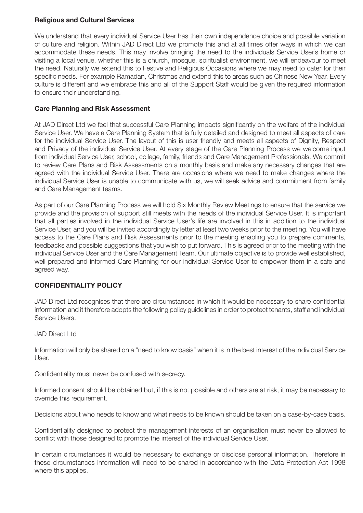## **Religious and Cultural Services**

We understand that every individual Service User has their own independence choice and possible variation of culture and religion. Within JAD Direct Ltd we promote this and at all times offer ways in which we can accommodate these needs. This may involve bringing the need to the individuals Service User's home or visiting a local venue, whether this is a church, mosque, spiritualist environment, we will endeavour to meet the need. Naturally we extend this to Festive and Religious Occasions where we may need to cater for their specific needs. For example Ramadan, Christmas and extend this to areas such as Chinese New Year. Every culture is different and we embrace this and all of the Support Staff would be given the required information to ensure their understanding.

## **Care Planning and Risk Assessment**

At JAD Direct Ltd we feel that successful Care Planning impacts significantly on the welfare of the individual Service User. We have a Care Planning System that is fully detailed and designed to meet all aspects of care for the individual Service User. The layout of this is user friendly and meets all aspects of Dignity, Respect and Privacy of the individual Service User. At every stage of the Care Planning Process we welcome input from individual Service User, school, college, family, friends and Care Management Professionals. We commit to review Care Plans and Risk Assessments on a monthly basis and make any necessary changes that are agreed with the individual Service User. There are occasions where we need to make changes where the individual Service User is unable to communicate with us, we will seek advice and commitment from family and Care Management teams.

As part of our Care Planning Process we will hold Six Monthly Review Meetings to ensure that the service we provide and the provision of support still meets with the needs of the individual Service User. It is important that all parties involved in the individual Service User's life are involved in this in addition to the individual Service User, and you will be invited accordingly by letter at least two weeks prior to the meeting. You will have access to the Care Plans and Risk Assessments prior to the meeting enabling you to prepare comments, feedbacks and possible suggestions that you wish to put forward. This is agreed prior to the meeting with the individual Service User and the Care Management Team. Our ultimate objective is to provide well established, well prepared and informed Care Planning for our individual Service User to empower them in a safe and agreed way.

# **CONFIDENTIALITY POLICY**

JAD Direct Ltd recognises that there are circumstances in which it would be necessary to share confidential information and it therefore adopts the following policy guidelines in order to protect tenants, staff and individual Service Users.

JAD Direct Ltd

Information will only be shared on a "need to know basis" when it is in the best interest of the individual Service User.

Confidentiality must never be confused with secrecy.

Informed consent should be obtained but, if this is not possible and others are at risk, it may be necessary to override this requirement.

Decisions about who needs to know and what needs to be known should be taken on a case-by-case basis.

Confidentiality designed to protect the management interests of an organisation must never be allowed to conflict with those designed to promote the interest of the individual Service User.

In certain circumstances it would be necessary to exchange or disclose personal information. Therefore in these circumstances information will need to be shared in accordance with the Data Protection Act 1998 where this applies.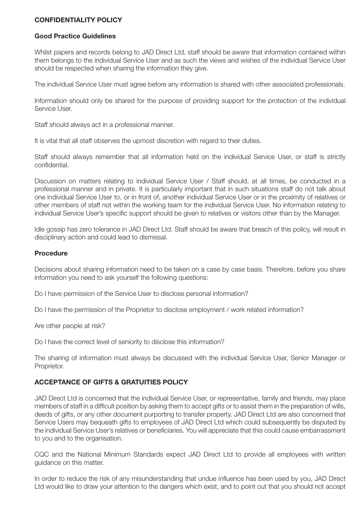## **CONFIDENTIALITY POLICY**

## **Good Practice Guidelines**

Whilst papers and records belong to JAD Direct Ltd, staff should be aware that information contained within them belongs to the individual Service User and as such the views and wishes of the individual Service User should be respected when sharing the information they give.

The individual Service User must agree before any information is shared with other associated professionals.

Information should only be shared for the purpose of providing support for the protection of the individual Service User.

Staff should always act in a professional manner.

It is vital that all staff observes the upmost discretion with regard to their duties.

Staff should always remember that all information held on the individual Service User, or staff is strictly confidential.

Discussion on matters relating to individual Service User / Staff should, at all times, be conducted in a professional manner and in private. It is particularly important that in such situations staff do not talk about one individual Service User to, or in front of, another individual Service User or in the proximity of relatives or other members of staff not within the working team for the individual Service User. No information relating to individual Service User's specific support should be given to relatives or visitors other than by the Manager.

Idle gossip has zero tolerance in JAD Direct Ltd. Staff should be aware that breach of this policy, will result in disciplinary action and could lead to dismissal.

#### **Procedure**

Decisions about sharing information need to be taken on a case by case basis. Therefore, before you share information you need to ask yourself the following questions:

Do I have permission of the Service User to disclose personal information?

Do I have the permission of the Proprietor to disclose employment / work related information?

Are other people at risk?

Do I have the correct level of seniority to disclose this information?

The sharing of information must always be discussed with the individual Service User, Senior Manager or Proprietor.

## **ACCEPTANCE OF GIFTS & GRATUITIES POLICY**

JAD Direct Ltd is concerned that the individual Service User, or representative, family and friends, may place members of staff in a difficult position by asking them to accept gifts or to assist them in the preparation of wills, deeds of gifts, or any other document purporting to transfer property. JAD Direct Ltd are also concerned that Service Users may bequeath gifts to employees of JAD Direct Ltd which could subsequently be disputed by the individual Service User's relatives or beneficiaries. You will appreciate that this could cause embarrassment to you and to the organisation.

CQC and the National Minimum Standards expect JAD Direct Ltd to provide all employees with written guidance on this matter.

In order to reduce the risk of any misunderstanding that undue influence has been used by you, JAD Direct Ltd would like to draw your attention to the dangers which exist, and to point out that you should not accept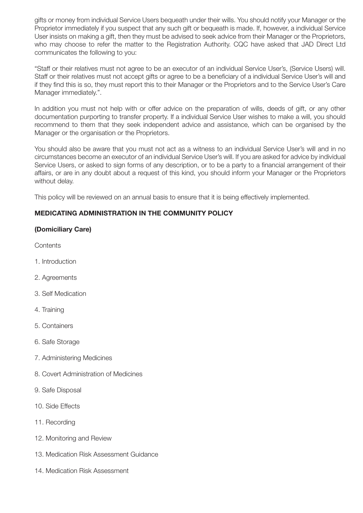gifts or money from individual Service Users bequeath under their wills. You should notify your Manager or the Proprietor immediately if you suspect that any such gift or bequeath is made. If, however, a individual Service User insists on making a gift, then they must be advised to seek advice from their Manager or the Proprietors, who may choose to refer the matter to the Registration Authority. CQC have asked that JAD Direct Ltd communicates the following to you:

"Staff or their relatives must not agree to be an executor of an individual Service User's, (Service Users) will. Staff or their relatives must not accept gifts or agree to be a beneficiary of a individual Service User's will and if they find this is so, they must report this to their Manager or the Proprietors and to the Service User's Care Manager immediately.".

In addition you must not help with or offer advice on the preparation of wills, deeds of gift, or any other documentation purporting to transfer property. If a individual Service User wishes to make a will, you should recommend to them that they seek independent advice and assistance, which can be organised by the Manager or the organisation or the Proprietors.

You should also be aware that you must not act as a witness to an individual Service User's will and in no circumstances become an executor of an individual Service User's will. If you are asked for advice by individual Service Users, or asked to sign forms of any description, or to be a party to a financial arrangement of their affairs, or are in any doubt about a request of this kind, you should inform your Manager or the Proprietors without delay.

This policy will be reviewed on an annual basis to ensure that it is being effectively implemented.

# **MEDICATING ADMINISTRATION IN THE COMMUNITY POLICY**

## **(Domiciliary Care)**

Contents

- 1. Introduction
- 2. Agreements
- 3. Self Medication
- 4. Training
- 5. Containers
- 6. Safe Storage
- 7. Administering Medicines
- 8. Covert Administration of Medicines
- 9. Safe Disposal
- 10. Side Effects
- 11. Recording
- 12. Monitoring and Review
- 13. Medication Risk Assessment Guidance
- 14. Medication Risk Assessment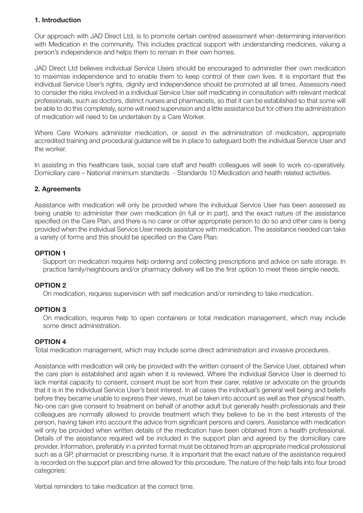# **1. Introduction**

Our approach with JAD Direct Ltd, is to promote certain centred assessment when determining intervention with Medication in the community. This includes practical support with understanding medicines, valuing a person's independence and helps them to remain in their own homes.

JAD Direct Ltd believes individual Service Users should be encouraged to administer their own medication to maximise independence and to enable them to keep control of their own lives. It is important that the individual Service User's rights, dignity and independence should be promoted at all times. Assessors need to consider the risks involved in a individual Service User self medicating in consultation with relevant medical professionals, such as doctors, district nurses and pharmacists, so that it can be established so that some will be able to do this completely, some will need supervision and a little assistance but for others the administration of medication will need to be undertaken by a Care Worker.

Where Care Workers administer medication, or assist in the administration of medication, appropriate accredited training and procedural guidance will be in place to safeguard both the individual Service User and the worker.

In assisting in this healthcare task, social care staff and health colleagues will seek to work co-operatively. Domiciliary care – National minimum standards - Standards 10 Medication and health related activities.

## **2. Agreements**

Assistance with medication will only be provided where the individual Service User has been assessed as being unable to administer their own medication (in full or in part), and the exact nature of the assistance specified on the Care Plan, and there is no carer or other appropriate person to do so and other care is being provided when the individual Service User needs assistance with medication. The assistance needed can take a variety of forms and this should be specified on the Care Plan:

## **OPTION 1**

 Support on medication requires help ordering and collecting prescriptions and advice on safe storage. In practice family/neighbours and/or pharmacy delivery will be the first option to meet these simple needs.

## **OPTION 2**

 On medication, requires supervision with self medication and/or reminding to take medication.

## **OPTION 3**

 On medication, requires help to open containers or total medication management, which may include some direct administration.

## **OPTION 4**

Total medication management, which may include some direct administration and invasive procedures.

Assistance with medication will only be provided with the written consent of the Service User, obtained when the care plan is established and again when it is reviewed. Where the individual Service User is deemed to lack mental capacity to consent, consent must be sort from their carer, relative or advocate on the grounds that it is in the individual Service User's best interest. In all cases the individual's general well being and beliefs before they became unable to express their views, must be taken into account as well as their physical health. No-one can give consent to treatment on behalf of another adult but generally health professionals and their colleagues are normally allowed to provide treatment which they believe to be in the best interests of the person, having taken into account the advice from significant persons and carers. Assistance with medication will only be provided when written details of the medication have been obtained from a health professional. Details of the assistance required will be included in the support plan and agreed by the domiciliary care provider. Information, preferably in a printed format must be obtained from an appropriate medical professional such as a GP, pharmacist or prescribing nurse. It is important that the exact nature of the assistance required is recorded on the support plan and time allowed for this procedure. The nature of the help falls into four broad categories:

Verbal reminders to take medication at the correct time.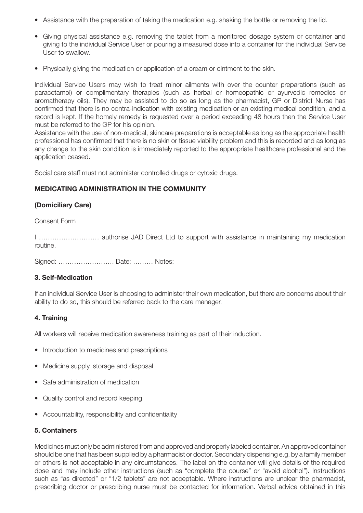- Assistance with the preparation of taking the medication e.g. shaking the bottle or removing the lid.
- • Giving physical assistance e.g. removing the tablet from a monitored dosage system or container and giving to the individual Service User or pouring a measured dose into a container for the individual Service User to swallow.
- Physically giving the medication or application of a cream or ointment to the skin.

Individual Service Users may wish to treat minor ailments with over the counter preparations (such as paracetamol) or complimentary therapies (such as herbal or homeopathic or ayurvedic remedies or aromatherapy oils). They may be assisted to do so as long as the pharmacist, GP or District Nurse has confirmed that there is no contra-indication with existing medication or an existing medical condition, and a record is kept. If the homely remedy is requested over a period exceeding 48 hours then the Service User must be referred to the GP for his opinion.

Assistance with the use of non-medical, skincare preparations is acceptable as long as the appropriate health professional has confirmed that there is no skin or tissue viability problem and this is recorded and as long as any change to the skin condition is immediately reported to the appropriate healthcare professional and the application ceased.

Social care staff must not administer controlled drugs or cytoxic drugs.

# **MEDICATING ADMINISTRATION IN THE COMMUNITY**

# **(Domiciliary Care)**

Consent Form

I ……………………… authorise JAD Direct Ltd to support with assistance in maintaining my medication routine.

Signed: ……………………. Date: ……… Notes:

## **3. Self-Medication**

If an individual Service User is choosing to administer their own medication, but there are concerns about their ability to do so, this should be referred back to the care manager.

## **4. Training**

All workers will receive medication awareness training as part of their induction.

- Introduction to medicines and prescriptions
- Medicine supply, storage and disposal
- Safe administration of medication
- Quality control and record keeping
- Accountability, responsibility and confidentiality

## **5. Containers**

Medicines must only be administered from and approved and properly labeled container. An approved container should be one that has been supplied by a pharmacist or doctor. Secondary dispensing e.g. by a family member or others is not acceptable in any circumstances. The label on the container will give details of the required dose and may include other instructions (such as "complete the course" or "avoid alcohol"). Instructions such as "as directed" or "1/2 tablets" are not acceptable. Where instructions are unclear the pharmacist, prescribing doctor or prescribing nurse must be contacted for information. Verbal advice obtained in this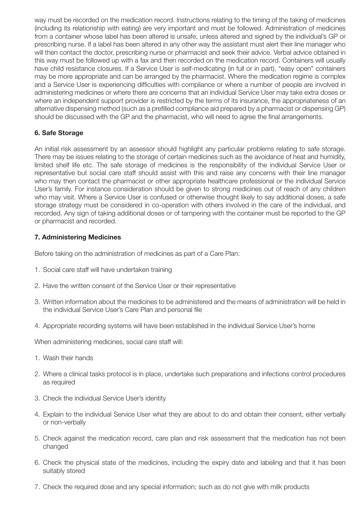way must be recorded on the medication record. Instructions relating to the timing of the taking of medicines (including its relationship with eating) are very important and must be followed. Administration of medicines from a container whose label has been altered is unsafe, unless altered and signed by the individual's GP or prescribing nurse. If a label has been altered in any other way the assistant must alert their line manager who will then contact the doctor, prescribing nurse or pharmacist and seek their advice. Verbal advice obtained in this way must be followed up with a fax and then recorded on the medication record. Containers will usually have child resistance closures. If a Service User is self-medicating (in full or in part), "easy open" containers may be more appropriate and can be arranged by the pharmacist. Where the medication regime is complex and a Service User is experiencing difficulties with compliance or where a number of people are involved in administering medicines or where there are concerns that an individual Service User may take extra doses or where an independent support provider is restricted by the terms of its insurance, the appropriateness of an alternative dispensing method (such as a prefilled compliance aid prepared by a pharmacist or dispensing GP) should be discussed with the GP and the pharmacist, who will need to agree the final arrangements.

# **6. Safe Storage**

An initial risk assessment by an assessor should highlight any particular problems relating to safe storage. There may be issues relating to the storage of certain medicines such as the avoidance of heat and humidity, limited shelf life etc. The safe storage of medicines is the responsibility of the individual Service User or representative but social care staff should assist with this and raise any concerns with their line manager who may then contact the pharmacist or other appropriate healthcare professional or the individual Service User's family. For instance consideration should be given to strong medicines out of reach of any children who may visit. Where a Service User is confused or otherwise thought likely to say additional doses, a safe storage strategy must be considered in co-operation with others involved in the care of the individual, and recorded. Any sign of taking additional doses or of tampering with the container must be reported to the GP or pharmacist and recorded.

## **7. Administering Medicines**

Before taking on the administration of medicines as part of a Care Plan:

- 1. Social care staff will have undertaken training
- 2. Have the written consent of the Service User or their representative
- 3. Written information about the medicines to be administered and the means of administration will be held in the individual Service User's Care Plan and personal file
- 4. Appropriate recording systems will have been established in the individual Service User's home

When administering medicines, social care staff will:

- 1. Wash their hands
- 2. Where a clinical tasks protocol is in place, undertake such preparations and infections control procedures as required
- 3. Check the individual Service User's identity
- 4. Explain to the individual Service User what they are about to do and obtain their consent, either verbally or non-verbally
- 5. Check against the medication record, care plan and risk assessment that the medication has not been changed
- 6. Check the physical state of the medicines, including the expiry date and labeling and that it has been suitably stored
- 7. Check the required dose and any special information; such as do not give with milk products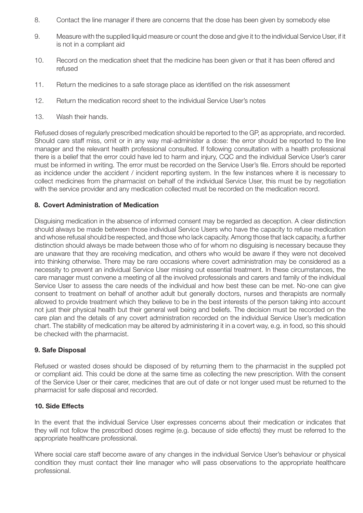- 8. Contact the line manager if there are concerns that the dose has been given by somebody else
- 9. Measure with the supplied liquid measure or count the dose and give it to the individual Service User, if it is not in a compliant aid
- 10. Record on the medication sheet that the medicine has been given or that it has been offered and refused
- 11. Return the medicines to a safe storage place as identified on the risk assessment
- 12. Return the medication record sheet to the individual Service User's notes
- 13. Wash their hands.

Refused doses of regularly prescribed medication should be reported to the GP, as appropriate, and recorded. Should care staff miss, omit or in any way mal-administer a dose: the error should be reported to the line manager and the relevant health professional consulted. If following consultation with a health professional there is a belief that the error could have led to harm and injury, CQC and the individual Service User's carer must be informed in writing. The error must be recorded on the Service User's file. Errors should be reported as incidence under the accident / incident reporting system. In the few instances where it is necessary to collect medicines from the pharmacist on behalf of the individual Service User, this must be by negotiation with the service provider and any medication collected must be recorded on the medication record.

## **8. Covert Administration of Medication**

Disguising medication in the absence of informed consent may be regarded as deception. A clear distinction should always be made between those individual Service Users who have the capacity to refuse medication and whose refusal should be respected, and those who lack capacity. Among those that lack capacity, a further distinction should always be made between those who of for whom no disguising is necessary because they are unaware that they are receiving medication, and others who would be aware if they were not deceived into thinking otherwise. There may be rare occasions where covert administration may be considered as a necessity to prevent an individual Service User missing out essential treatment. In these circumstances, the care manager must convene a meeting of all the involved professionals and carers and family of the individual Service User to assess the care needs of the individual and how best these can be met. No-one can give consent to treatment on behalf of another adult but generally doctors, nurses and therapists are normally allowed to provide treatment which they believe to be in the best interests of the person taking into account not just their physical health but their general well being and beliefs. The decision must be recorded on the care plan and the details of any covert administration recorded on the individual Service User's medication chart. The stability of medication may be altered by administering it in a covert way, e.g. in food, so this should be checked with the pharmacist.

#### **9. Safe Disposal**

Refused or wasted doses should be disposed of by returning them to the pharmacist in the supplied pot or compliant aid. This could be done at the same time as collecting the new prescription. With the consent of the Service User or their carer, medicines that are out of date or not longer used must be returned to the pharmacist for safe disposal and recorded.

#### **10. Side Effects**

In the event that the individual Service User expresses concerns about their medication or indicates that they will not follow the prescribed doses regime (e.g. because of side effects) they must be referred to the appropriate healthcare professional.

Where social care staff become aware of any changes in the individual Service User's behaviour or physical condition they must contact their line manager who will pass observations to the appropriate healthcare professional.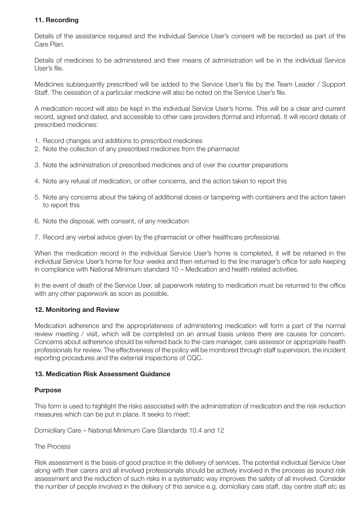# **11. Recording**

Details of the assistance required and the individual Service User's consent will be recorded as part of the Care Plan.

Details of medicines to be administered and their means of administration will be in the individual Service User's file.

Medicines subsequently prescribed will be added to the Service User's file by the Team Leader / Support Staff. The cessation of a particular medicine will also be noted on the Service User's file.

A medication record will also be kept in the individual Service User's home. This will be a clear and current record, signed and dated, and accessible to other care providers (formal and informal). It will record details of prescribed medicines:

- 1. Record changes and additions to prescribed medicines
- 2. Note the collection of any prescribed medicines from the pharmacist
- 3. Note the administration of prescribed medicines and of over the counter preparations
- 4. Note any refusal of medication, or other concerns, and the action taken to report this
- 5. Note any concerns about the taking of additional doses or tampering with containers and the action taken to report this
- 6. Note the disposal, with consent, of any medication
- 7. Record any verbal advice given by the pharmacist or other healthcare professional.

When the medication record in the individual Service User's home is completed, it will be retained in the individual Service User's home for four weeks and then returned to the line manager's office for safe keeping in compliance with National Minimum standard 10 – Medication and health related activities.

In the event of death of the Service User, all paperwork relating to medication must be returned to the office with any other paperwork as soon as possible.

## **12. Monitoring and Review**

Medication adherence and the appropriateness of administering medication will form a part of the normal review meeting / visit, which will be completed on an annual basis unless there are causes for concern. Concerns about adherence should be referred back to the care manager, care assessor or appropriate health professionals for review. The effectiveness of the policy will be monitored through staff supervision, the incident reporting procedures and the external inspections of CQC.

## **13. Medication Risk Assessment Guidance**

#### **Purpose**

This form is used to highlight the risks associated with the administration of medication and the risk reduction measures which can be put in place. It seeks to meet:

Domiciliary Care – National Minimum Care Standards 10.4 and 12

#### The Process

Risk assessment is the basis of good practice in the delivery of services. The potential individual Service User along with their carers and all involved professionals should be actively involved in the process as sound risk assessment and the reduction of such risks in a systematic way improves the safety of all involved. Consider the number of people involved in the delivery of this service e.g. domiciliary care staff, day centre staff etc as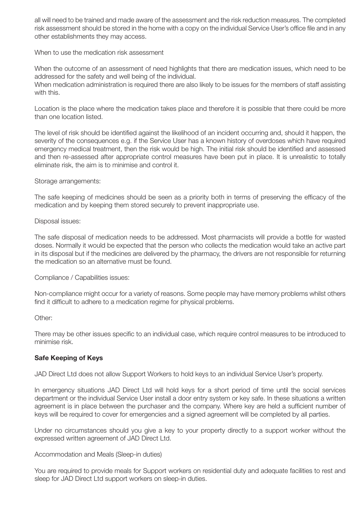all will need to be trained and made aware of the assessment and the risk reduction measures. The completed risk assessment should be stored in the home with a copy on the individual Service User's office file and in any other establishments they may access.

When to use the medication risk assessment

When the outcome of an assessment of need highlights that there are medication issues, which need to be addressed for the safety and well being of the individual.

When medication administration is required there are also likely to be issues for the members of staff assisting with this.

Location is the place where the medication takes place and therefore it is possible that there could be more than one location listed.

The level of risk should be identified against the likelihood of an incident occurring and, should it happen, the severity of the consequences e.g. if the Service User has a known history of overdoses which have required emergency medical treatment, then the risk would be high. The initial risk should be identified and assessed and then re-assessed after appropriate control measures have been put in place. It is unrealistic to totally eliminate risk, the aim is to minimise and control it.

Storage arrangements:

The safe keeping of medicines should be seen as a priority both in terms of preserving the efficacy of the medication and by keeping them stored securely to prevent inappropriate use.

Disposal issues:

The safe disposal of medication needs to be addressed. Most pharmacists will provide a bottle for wasted doses. Normally it would be expected that the person who collects the medication would take an active part in its disposal but if the medicines are delivered by the pharmacy, the drivers are not responsible for returning the medication so an alternative must be found.

Compliance / Capabilities issues:

Non-compliance might occur for a variety of reasons. Some people may have memory problems whilst others find it difficult to adhere to a medication regime for physical problems.

Other:

There may be other issues specific to an individual case, which require control measures to be introduced to minimise risk.

## **Safe Keeping of Keys**

JAD Direct Ltd does not allow Support Workers to hold keys to an individual Service User's property.

In emergency situations JAD Direct Ltd will hold keys for a short period of time until the social services department or the individual Service User install a door entry system or key safe. In these situations a written agreement is in place between the purchaser and the company. Where key are held a sufficient number of keys will be required to cover for emergencies and a signed agreement will be completed by all parties.

Under no circumstances should you give a key to your property directly to a support worker without the expressed written agreement of JAD Direct Ltd.

Accommodation and Meals (Sleep-in duties)

You are required to provide meals for Support workers on residential duty and adequate facilities to rest and sleep for JAD Direct Ltd support workers on sleep-in duties.